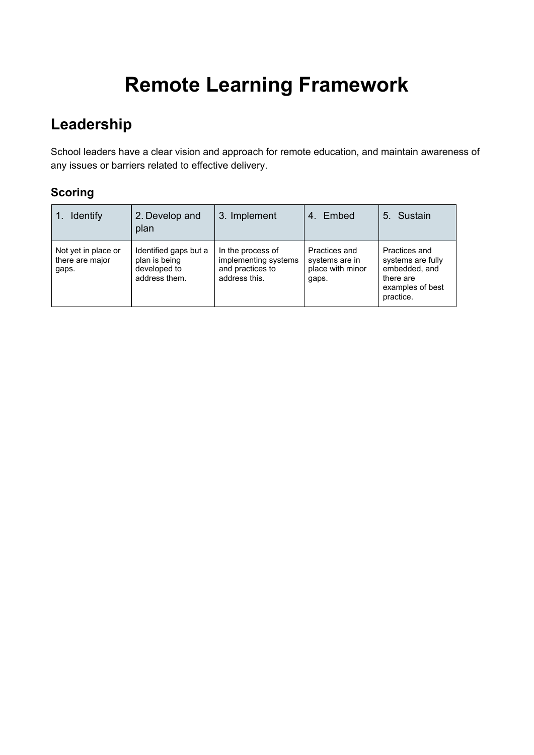# **Remote Learning Framework**

## **Leadership**

School leaders have a clear vision and approach for remote education, and maintain awareness of any issues or barriers related to effective delivery.

| <b>Identify</b>                                 | 2. Develop and<br>plan                                                  | 3. Implement                                                                   | Embed<br>4.                                                  | 5. Sustain                                                                                        |
|-------------------------------------------------|-------------------------------------------------------------------------|--------------------------------------------------------------------------------|--------------------------------------------------------------|---------------------------------------------------------------------------------------------------|
| Not yet in place or<br>there are major<br>gaps. | Identified gaps but a<br>plan is being<br>developed to<br>address them. | In the process of<br>implementing systems<br>and practices to<br>address this. | Practices and<br>systems are in<br>place with minor<br>gaps. | Practices and<br>systems are fully<br>embedded, and<br>there are<br>examples of best<br>practice. |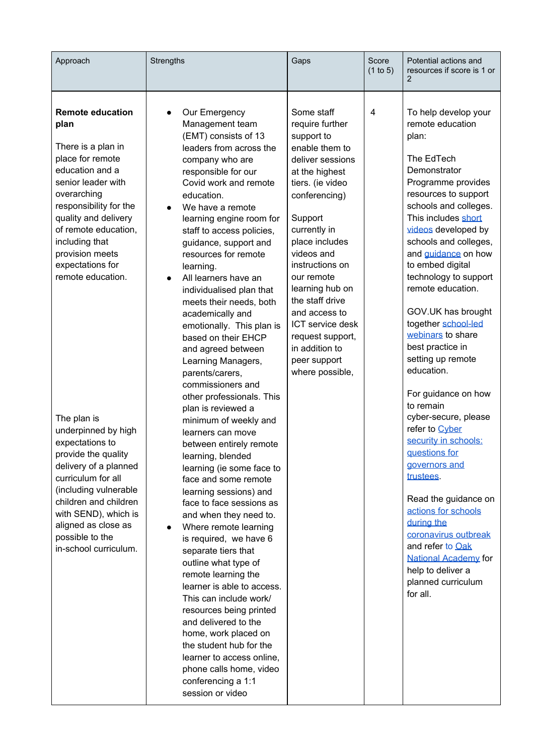| Approach                                                                                                                                                                                                                                                                                                                                                                                                                                                                                                                                                              | Strengths                                                                                                                                                                                                                                                                                                                                                                                                                                                                                                                                                                                                                                                                                                                                                                                                                                                                                                                                                                                                                                                                                                                                                                                                                                                                 | Gaps                                                                                                                                                                                                                                                                                                                                                                                     | Score<br>(1 to 5) | Potential actions and<br>resources if score is 1 or                                                                                                                                                                                                                                                                                                                                                                                                                                                                                                                                                                                                                                                                                                                                                 |
|-----------------------------------------------------------------------------------------------------------------------------------------------------------------------------------------------------------------------------------------------------------------------------------------------------------------------------------------------------------------------------------------------------------------------------------------------------------------------------------------------------------------------------------------------------------------------|---------------------------------------------------------------------------------------------------------------------------------------------------------------------------------------------------------------------------------------------------------------------------------------------------------------------------------------------------------------------------------------------------------------------------------------------------------------------------------------------------------------------------------------------------------------------------------------------------------------------------------------------------------------------------------------------------------------------------------------------------------------------------------------------------------------------------------------------------------------------------------------------------------------------------------------------------------------------------------------------------------------------------------------------------------------------------------------------------------------------------------------------------------------------------------------------------------------------------------------------------------------------------|------------------------------------------------------------------------------------------------------------------------------------------------------------------------------------------------------------------------------------------------------------------------------------------------------------------------------------------------------------------------------------------|-------------------|-----------------------------------------------------------------------------------------------------------------------------------------------------------------------------------------------------------------------------------------------------------------------------------------------------------------------------------------------------------------------------------------------------------------------------------------------------------------------------------------------------------------------------------------------------------------------------------------------------------------------------------------------------------------------------------------------------------------------------------------------------------------------------------------------------|
| <b>Remote education</b><br>plan<br>There is a plan in<br>place for remote<br>education and a<br>senior leader with<br>overarching<br>responsibility for the<br>quality and delivery<br>of remote education,<br>including that<br>provision meets<br>expectations for<br>remote education.<br>The plan is<br>underpinned by high<br>expectations to<br>provide the quality<br>delivery of a planned<br>curriculum for all<br>(including vulnerable<br>children and children<br>with SEND), which is<br>aligned as close as<br>possible to the<br>in-school curriculum. | Our Emergency<br>$\bullet$<br>Management team<br>(EMT) consists of 13<br>leaders from across the<br>company who are<br>responsible for our<br>Covid work and remote<br>education.<br>We have a remote<br>$\bullet$<br>learning engine room for<br>staff to access policies,<br>guidance, support and<br>resources for remote<br>learning.<br>All learners have an<br>$\bullet$<br>individualised plan that<br>meets their needs, both<br>academically and<br>emotionally. This plan is<br>based on their EHCP<br>and agreed between<br>Learning Managers,<br>parents/carers,<br>commissioners and<br>other professionals. This<br>plan is reviewed a<br>minimum of weekly and<br>learners can move<br>between entirely remote<br>learning, blended<br>learning (ie some face to<br>face and some remote<br>learning sessions) and<br>face to face sessions as<br>and when they need to.<br>Where remote learning<br>$\bullet$<br>is required, we have 6<br>separate tiers that<br>outline what type of<br>remote learning the<br>learner is able to access.<br>This can include work/<br>resources being printed<br>and delivered to the<br>home, work placed on<br>the student hub for the<br>learner to access online,<br>phone calls home, video<br>conferencing a 1:1 | Some staff<br>require further<br>support to<br>enable them to<br>deliver sessions<br>at the highest<br>tiers. (ie video<br>conferencing)<br>Support<br>currently in<br>place includes<br>videos and<br>instructions on<br>our remote<br>learning hub on<br>the staff drive<br>and access to<br>ICT service desk<br>request support,<br>in addition to<br>peer support<br>where possible, | 4                 | To help develop your<br>remote education<br>plan:<br>The EdTech<br>Demonstrator<br>Programme provides<br>resources to support<br>schools and colleges.<br>This includes short<br>videos developed by<br>schools and colleges,<br>and guidance on how<br>to embed digital<br>technology to support<br>remote education.<br>GOV.UK has brought<br>together school-led<br>webinars to share<br>best practice in<br>setting up remote<br>education.<br>For guidance on how<br>to remain<br>cyber-secure, please<br>refer to Cyber<br>security in schools:<br>questions for<br>governors and<br>trustees.<br>Read the guidance on<br>actions for schools<br>during the<br>coronavirus outbreak<br>and refer to Oak<br><b>National Academy for</b><br>help to deliver a<br>planned curriculum<br>for all. |
|                                                                                                                                                                                                                                                                                                                                                                                                                                                                                                                                                                       | session or video                                                                                                                                                                                                                                                                                                                                                                                                                                                                                                                                                                                                                                                                                                                                                                                                                                                                                                                                                                                                                                                                                                                                                                                                                                                          |                                                                                                                                                                                                                                                                                                                                                                                          |                   |                                                                                                                                                                                                                                                                                                                                                                                                                                                                                                                                                                                                                                                                                                                                                                                                     |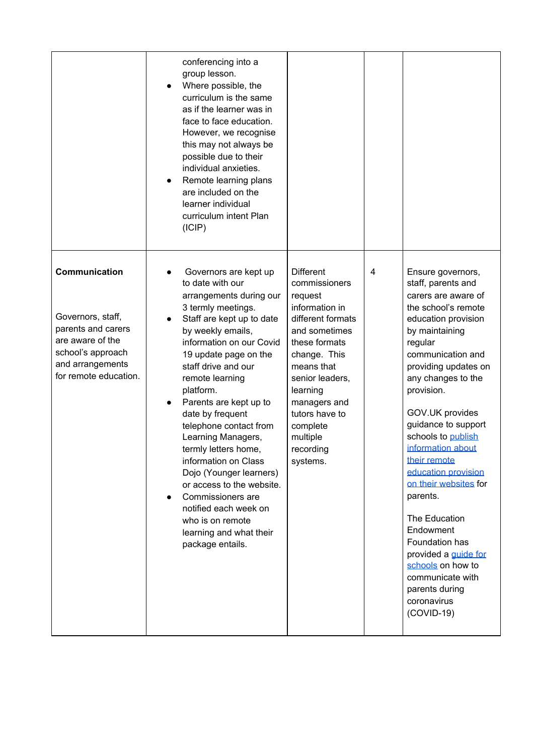|                                                                                                                                                | conferencing into a<br>group lesson.<br>Where possible, the<br>$\bullet$<br>curriculum is the same<br>as if the learner was in<br>face to face education.<br>However, we recognise<br>this may not always be<br>possible due to their<br>individual anxieties.<br>Remote learning plans<br>$\bullet$<br>are included on the<br>learner individual<br>curriculum intent Plan<br>(ICIP)                                                                                                                                                                                                                                  |                                                                                                                                                                                                                                                                       |   |                                                                                                                                                                                                                                                                                                                                                                                                                                                                                                                                                                      |
|------------------------------------------------------------------------------------------------------------------------------------------------|------------------------------------------------------------------------------------------------------------------------------------------------------------------------------------------------------------------------------------------------------------------------------------------------------------------------------------------------------------------------------------------------------------------------------------------------------------------------------------------------------------------------------------------------------------------------------------------------------------------------|-----------------------------------------------------------------------------------------------------------------------------------------------------------------------------------------------------------------------------------------------------------------------|---|----------------------------------------------------------------------------------------------------------------------------------------------------------------------------------------------------------------------------------------------------------------------------------------------------------------------------------------------------------------------------------------------------------------------------------------------------------------------------------------------------------------------------------------------------------------------|
| Communication<br>Governors, staff,<br>parents and carers<br>are aware of the<br>school's approach<br>and arrangements<br>for remote education. | Governors are kept up<br>to date with our<br>arrangements during our<br>3 termly meetings.<br>Staff are kept up to date<br>$\bullet$<br>by weekly emails,<br>information on our Covid<br>19 update page on the<br>staff drive and our<br>remote learning<br>platform.<br>Parents are kept up to<br>$\bullet$<br>date by frequent<br>telephone contact from<br>Learning Managers,<br>termly letters home.<br>information on Class<br>Dojo (Younger learners)<br>or access to the website.<br>Commissioners are<br>$\bullet$<br>notified each week on<br>who is on remote<br>learning and what their<br>package entails. | <b>Different</b><br>commissioners<br>request<br>information in<br>different formats<br>and sometimes<br>these formats<br>change. This<br>means that<br>senior leaders,<br>learning<br>managers and<br>tutors have to<br>complete<br>multiple<br>recording<br>systems. | 4 | Ensure governors,<br>staff, parents and<br>carers are aware of<br>the school's remote<br>education provision<br>by maintaining<br>regular<br>communication and<br>providing updates on<br>any changes to the<br>provision.<br>GOV.UK provides<br>guidance to support<br>schools to publish<br>information about<br>their remote<br>education provision<br>on their websites for<br>parents.<br>The Education<br>Endowment<br>Foundation has<br>provided a <i>guide</i> for<br>schools on how to<br>communicate with<br>parents during<br>coronavirus<br>$(COVID-19)$ |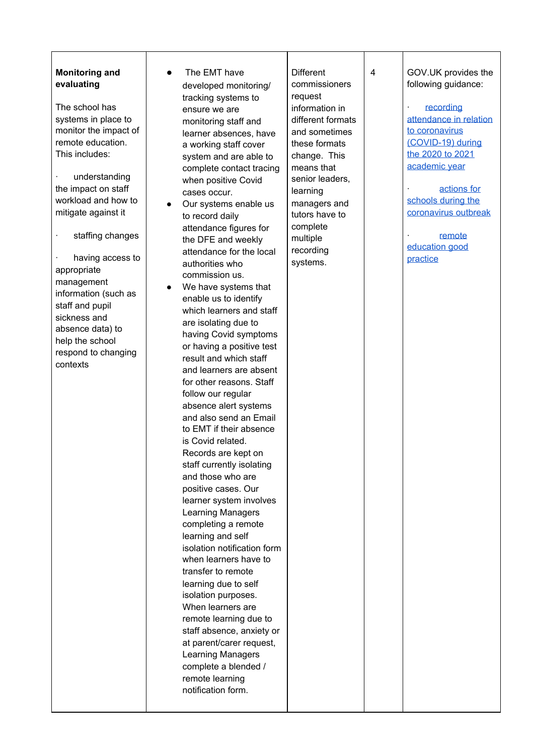#### **Monitoring and evaluating**

The school has systems in place to monitor the impact of remote education. This includes:

· understanding the impact on staff workload and how to mitigate against it

· staffing chang e s

having access to appropriate management information (such as staff and pupil sickness and absence data) to help the school respond to changing contexts

- $\bullet$ The EMT have developed monitoring/ tracking systems to ensure we are monitoring staff and learner absences, have a working staff cover system and are able to complete contact tracing when positive Covid cases occur.
- Our systems enable us to record daily attendance figures for the DFE and weekly attendance for the local authorities who commission us.
- The EMT have<br>
developed monitoring/<br>
tracking systems to<br>
ensure we are<br>
monitoring staff and<br>
learner absences, have<br>
system and are able to<br>
complete contact tracking<br>
complete contact tracking<br>
or the positive Covid<br>
ca ● We have systems that enable us to identify which learners and staff are isolating due to having Covid symptoms or having a positive test result and which staff and learners are absent for other reasons. Staff follow our regular absence alert systems and also send an Email to EMT if their absence is Covid related. Records are kept on staff currently isolating and those who are positive cases. Our learner system involves Learning Managers completing a remote learning and self isolation notification form when learners have to transfer to remote learning due to self isolation purposes. When learners are remote learning due to staff absence, anxiety or at parent/carer request, Learning Managers complete a blended / remote learning notification form.

erent commissioners request informa tio n in different formats and sometimes these formats c h a n g e. T his means that senior leaders, learning managers and tutors have to complete multiple recording Different<br>
commissioners<br>
request<br>
information in<br>
different formats<br>
and sometimes<br>
these formats<br>
change. This<br>
means that<br>
senior leaders,<br>
learning<br>
managers and<br>
tutors have to<br>
complete<br>
multiple<br>
recording<br>
systems. GOV.UK provides the following guidance:

**[recording](https://www.gov.uk/government/publications/school-attendance/addendum-recording-attendance-in-relation-to-coronavirus-covid-19-during-the-2020-to-2021-academic-year)** [attendance](https://www.gov.uk/government/publications/school-attendance/addendum-recording-attendance-in-relation-to-coronavirus-covid-19-during-the-2020-to-2021-academic-year) in relatio n to corona[vir](https://www.gov.uk/government/publications/school-attendance/addendum-recording-attendance-in-relation-to-coronavirus-covid-19-during-the-2020-to-2021-academic-year)us (CO[VID](https://www.gov.uk/government/publications/school-attendance/addendum-recording-attendance-in-relation-to-coronavirus-covid-19-during-the-2020-to-2021-academic-year)-19) during the 2[0](https://www.gov.uk/government/publications/school-attendance/addendum-recording-attendance-in-relation-to-coronavirus-covid-19-during-the-2020-to-2021-academic-year)20 to 2021 acade[mic](https://www.gov.uk/government/publications/school-attendance/addendum-recording-attendance-in-relation-to-coronavirus-covid-19-during-the-2020-to-2021-academic-year) year

· [actions](https://www.gov.uk/government/publications/actions-for-schools-during-the-coronavirus-outbreak#section-3-curriculum-behaviour-and-pastoral-support) fo r scho[ols](https://www.gov.uk/government/publications/actions-for-schools-during-the-coronavirus-outbreak#section-3-curriculum-behaviour-and-pastoral-support) during the corona[vir](https://www.gov.uk/government/publications/actions-for-schools-during-the-coronavirus-outbreak#section-3-curriculum-behaviour-and-pastoral-support)us outbreak

· [remote](https://www.gov.uk/government/publications/remote-education-good-practice/remote-education-good-practice#finding-solutions-in-remote-provision) [education](https://www.gov.uk/government/publications/remote-education-good-practice/remote-education-good-practice#finding-solutions-in-remote-provision) good [practice](https://www.gov.uk/government/publications/remote-education-good-practice/remote-education-good-practice#finding-solutions-in-remote-provision)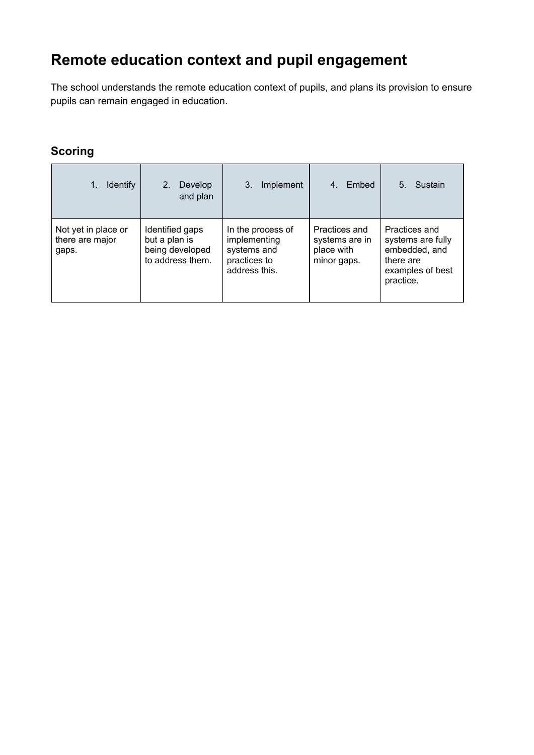# **Remote education context and pupil engagement**

The school understands the remote education context of pupils, and plans its provision to ensure pupils can remain engaged in education.

| <b>Identify</b>                                 | Develop<br>2 <sub>1</sub><br>and plan                                   | 3.<br>Implement                                                                   | Embed                                                        | 5.<br>Sustain                                                                                     |
|-------------------------------------------------|-------------------------------------------------------------------------|-----------------------------------------------------------------------------------|--------------------------------------------------------------|---------------------------------------------------------------------------------------------------|
| Not yet in place or<br>there are major<br>gaps. | Identified gaps<br>but a plan is<br>being developed<br>to address them. | In the process of<br>implementing<br>systems and<br>practices to<br>address this. | Practices and<br>systems are in<br>place with<br>minor gaps. | Practices and<br>systems are fully<br>embedded, and<br>there are<br>examples of best<br>practice. |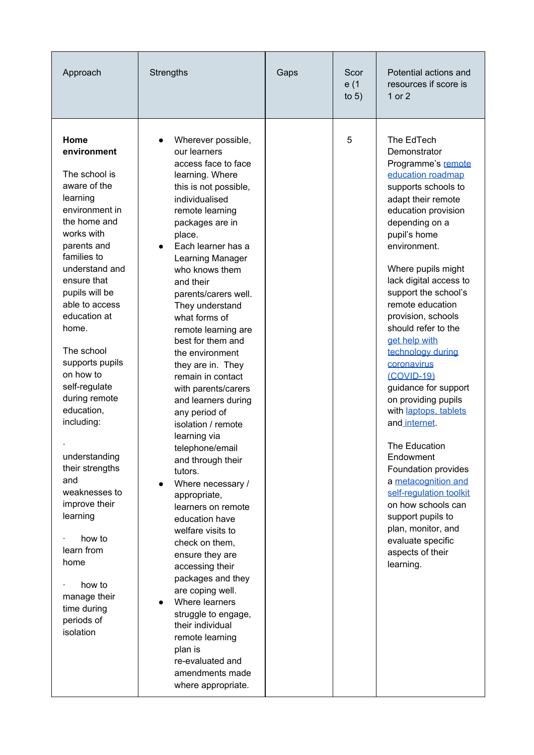| Approach                                                                                                                                                                                                                                                                                                                                                                                                                                                                                                                                              | <b>Strengths</b>                                                                                                                                                                                                                                                                                                                                                                                                                                                                                                                                                                                                                                                                                                                                                                                                                                                                                                                                                   | Gaps | Scor<br>e (1<br>to $5)$ | Potential actions and<br>resources if score is<br>1 or 2                                                                                                                                                                                                                                                                                                                                                                                                                                                                                                                                                                                                                                                                       |
|-------------------------------------------------------------------------------------------------------------------------------------------------------------------------------------------------------------------------------------------------------------------------------------------------------------------------------------------------------------------------------------------------------------------------------------------------------------------------------------------------------------------------------------------------------|--------------------------------------------------------------------------------------------------------------------------------------------------------------------------------------------------------------------------------------------------------------------------------------------------------------------------------------------------------------------------------------------------------------------------------------------------------------------------------------------------------------------------------------------------------------------------------------------------------------------------------------------------------------------------------------------------------------------------------------------------------------------------------------------------------------------------------------------------------------------------------------------------------------------------------------------------------------------|------|-------------------------|--------------------------------------------------------------------------------------------------------------------------------------------------------------------------------------------------------------------------------------------------------------------------------------------------------------------------------------------------------------------------------------------------------------------------------------------------------------------------------------------------------------------------------------------------------------------------------------------------------------------------------------------------------------------------------------------------------------------------------|
| Home<br>environment<br>The school is<br>aware of the<br>learning<br>environment in<br>the home and<br>works with<br>parents and<br>families to<br>understand and<br>ensure that<br>pupils will be<br>able to access<br>education at<br>home.<br>The school<br>supports pupils<br>on how to<br>self-regulate<br>during remote<br>education,<br>including:<br>understanding<br>their strengths<br>and<br>weaknesses to<br>improve their<br>learning<br>how to<br>learn from<br>home<br>how to<br>manage their<br>time during<br>periods of<br>isolation | Wherever possible,<br>our learners<br>access face to face<br>learning. Where<br>this is not possible,<br>individualised<br>remote learning<br>packages are in<br>place.<br>Each learner has a<br>Learning Manager<br>who knows them<br>and their<br>parents/carers well.<br>They understand<br>what forms of<br>remote learning are<br>best for them and<br>the environment<br>they are in. They<br>remain in contact<br>with parents/carers<br>and learners during<br>any period of<br>isolation / remote<br>learning via<br>telephone/email<br>and through their<br>tutors.<br>Where necessary /<br>$\bullet$<br>appropriate,<br>learners on remote<br>education have<br>welfare visits to<br>check on them,<br>ensure they are<br>accessing their<br>packages and they<br>are coping well.<br>Where learners<br>$\bullet$<br>struggle to engage,<br>their individual<br>remote learning<br>plan is<br>re-evaluated and<br>amendments made<br>where appropriate. |      | 5                       | The EdTech<br>Demonstrator<br>Programme's remote<br>education roadmap<br>supports schools to<br>adapt their remote<br>education provision<br>depending on a<br>pupil's home<br>environment.<br>Where pupils might<br>lack digital access to<br>support the school's<br>remote education<br>provision, schools<br>should refer to the<br>get help with<br>technology during<br>coronavirus<br>(COVID-19)<br>guidance for support<br>on providing pupils<br>with laptops, tablets<br>and internet.<br>The Education<br>Endowment<br>Foundation provides<br>a metacognition and<br>self-regulation toolkit<br>on how schools can<br>support pupils to<br>plan, monitor, and<br>evaluate specific<br>aspects of their<br>learning. |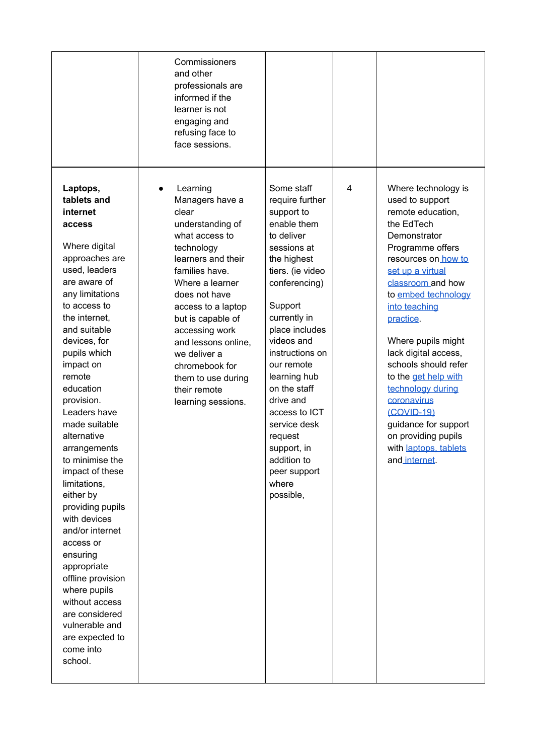|                                                                                                                                                                                                                                                                                                                                                                                                                                                                                                                                                                                                                                                 | Commissioners<br>and other<br>professionals are<br>informed if the<br>learner is not<br>engaging and<br>refusing face to<br>face sessions.                                                                                                                                                                                                             |                                                                                                                                                                                                                                                                                                                                                                                                      |   |                                                                                                                                                                                                                                                                                                                                                                                                                                                                             |
|-------------------------------------------------------------------------------------------------------------------------------------------------------------------------------------------------------------------------------------------------------------------------------------------------------------------------------------------------------------------------------------------------------------------------------------------------------------------------------------------------------------------------------------------------------------------------------------------------------------------------------------------------|--------------------------------------------------------------------------------------------------------------------------------------------------------------------------------------------------------------------------------------------------------------------------------------------------------------------------------------------------------|------------------------------------------------------------------------------------------------------------------------------------------------------------------------------------------------------------------------------------------------------------------------------------------------------------------------------------------------------------------------------------------------------|---|-----------------------------------------------------------------------------------------------------------------------------------------------------------------------------------------------------------------------------------------------------------------------------------------------------------------------------------------------------------------------------------------------------------------------------------------------------------------------------|
| Laptops,<br>tablets and<br>internet<br>access<br>Where digital<br>approaches are<br>used, leaders<br>are aware of<br>any limitations<br>to access to<br>the internet,<br>and suitable<br>devices, for<br>pupils which<br>impact on<br>remote<br>education<br>provision.<br>Leaders have<br>made suitable<br>alternative<br>arrangements<br>to minimise the<br>impact of these<br>limitations,<br>either by<br>providing pupils<br>with devices<br>and/or internet<br>access or<br>ensuring<br>appropriate<br>offline provision<br>where pupils<br>without access<br>are considered<br>vulnerable and<br>are expected to<br>come into<br>school. | Learning<br>Managers have a<br>clear<br>understanding of<br>what access to<br>technology<br>learners and their<br>families have.<br>Where a learner<br>does not have<br>access to a laptop<br>but is capable of<br>accessing work<br>and lessons online,<br>we deliver a<br>chromebook for<br>them to use during<br>their remote<br>learning sessions. | Some staff<br>require further<br>support to<br>enable them<br>to deliver<br>sessions at<br>the highest<br>tiers. (ie video<br>conferencing)<br>Support<br>currently in<br>place includes<br>videos and<br>instructions on<br>our remote<br>learning hub<br>on the staff<br>drive and<br>access to ICT<br>service desk<br>request<br>support, in<br>addition to<br>peer support<br>where<br>possible, | 4 | Where technology is<br>used to support<br>remote education,<br>the EdTech<br>Demonstrator<br>Programme offers<br>resources on how to<br>set up a virtual<br>classroom and how<br>to embed technology<br>into teaching<br>practice.<br>Where pupils might<br>lack digital access,<br>schools should refer<br>to the get help with<br>technology during<br>coronavirus<br>(COVID-19)<br>guidance for support<br>on providing pupils<br>with laptops, tablets<br>and internet. |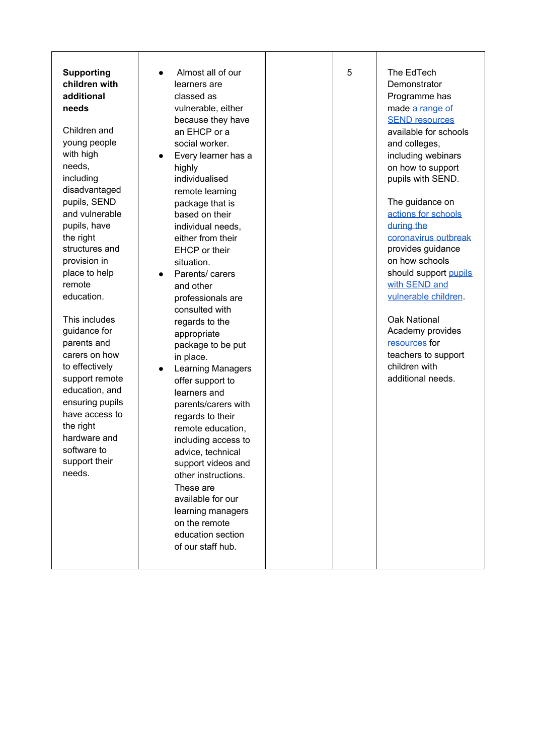**Supporting c h i l d r e n w i t h a d d i t i o n a l n e e d s**

Children and young people wit h hig h n e e d s, includin g disadvantaged pupils, SEND and vulnerable pupils, have the right structures and p r o visio n in place to help remote education. oorting<br>
Iren with<br>
tional<br>
Is<br>
Iren and<br>
g people<br>
high<br>
s,<br>
s,<br>
s,<br>
s,<br>
s,<br>
s,<br>
s,<br>
vulnerable<br>
s, have<br>
ght<br>
tures and<br>
sion in<br>
ation.<br>
includes<br>
ance for<br>
this and<br>
son how<br>
iectively<br>
on termote<br>
ation, and<br>
include

This includ e s g uid a n c e fo r parents and carers on how to effectively support remote education, and ensuring pupils have access to the right hardware and software to support their need:

Almost all of our learners are classed as vulnerable, either because they hav e a n E H C P o r a social worker. • Every learner has a hig hly individualised remote learning package that is b a s e d o n t h eir individual need s, either from their EHCP or their situation. Parents/ carers and other professionals are consulted with regards to the appropriate package to be pu t in place. • Learning Managers offer support to learners and parents/carers wit h regards to their remote education, including access t o advice, technical support videos a n d other instructions. These are available for our learning manager s on the remote education section our<br>ther<br>thave<br>has a<br>ng is<br>is<br>in<br>is<br>agers<br>o<br>with<br>ir<br>ition,<br>sas to<br>cal<br>as and<br>nos.<br>tition,<br>tition,<br>tition,<br>tition,<br>there is and there is also to be<br>in the summer is also to be<br>in this is and the summer<br> $\alpha$ <br>is and the summe

of our staff hul

The EdTech Demonstrator Programme has m[a](https://edtech-demonstrator.lgfl.net/guidance/special-educational-needs)de <u>a range of</u> **SE[N](https://edtech-demonstrator.lgfl.net/guidance/special-educational-needs)D resources** available for schools a n d c olle g e s, including webinars on how to support pupils with SEND. The guidance o[n](https://www.gov.uk/government/publications/actions-for-schools-during-the-coronavirus-outbreak#section-3-curriculum-behaviour-and-pastoral-support) actions for [schools](https://www.gov.uk/government/publications/actions-for-schools-during-the-coronavirus-outbreak#section-3-curriculum-behaviour-and-pastoral-support) [during](https://www.gov.uk/government/publications/actions-for-schools-during-the-coronavirus-outbreak#section-3-curriculum-behaviour-and-pastoral-support) the [coronavirus](https://www.gov.uk/government/publications/actions-for-schools-during-the-coronavirus-outbreak#section-3-curriculum-behaviour-and-pastoral-support) outbreak provides guidance on how schools should suppor[t](https://www.gov.uk/government/publications/actions-for-schools-during-the-coronavirus-outbreak/guidance-for-full-opening-schools#vulnerable-children) pu[pils](https://www.gov.uk/government/publications/actions-for-schools-during-the-coronavirus-outbreak/guidance-for-full-opening-schools#vulnerable-children) [wit](https://www.gov.uk/government/publications/actions-for-schools-during-the-coronavirus-outbreak/guidance-for-full-opening-schools#vulnerable-children)h SEND and vulnerable c[hild](https://www.gov.uk/government/publications/actions-for-schools-during-the-coronavirus-outbreak/guidance-for-full-opening-schools#vulnerable-children)ren. Oak National Academy provide[s](https://classroom.thenational.academy/specialist) [resources](https://classroom.thenational.academy/specialist) for teachers to support children with additional needs.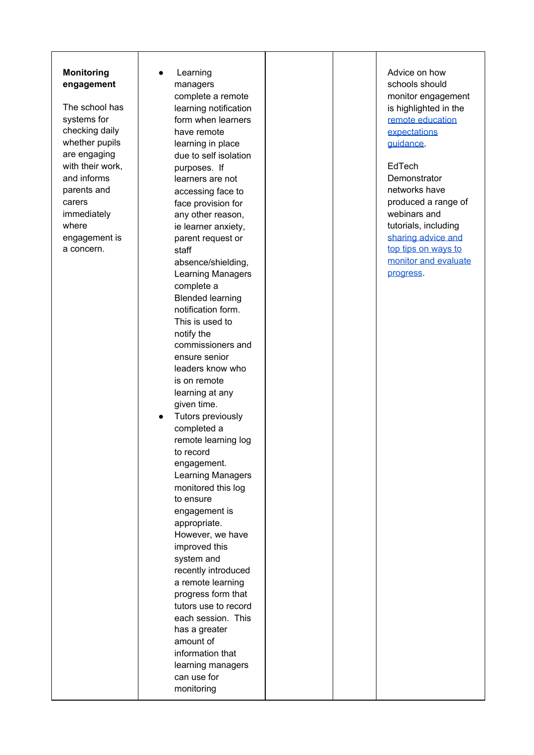#### **Monitoring** engagement

The school has systems for checking daily whether pupils a r e e n g a gin g with their work, and informs parents and carers immediately where engagement is Monitoring<br>
engagement<br>
The school has<br>
systems for<br>
checking daily<br>
whether pupils<br>
are engaging<br>
with their work,<br>
and informs<br>
parents and<br>
carers<br>
immediately<br>
where<br>
engagement is<br>
a concern.

Learning managers complete a remote learning notification form when learners have remote learning in place due to self isolation purposes. If learners are not accessing face to face provision for any other reason, ie learner anxiety, parent request or staff absence/shielding, Learning Managers complete a Blended learning notification form. This is used to notify the commissioners and ensure senior leaders know who is on remote learning at any given time. ● Tutors previously completed a remote learning log to record engagement. Learning Managers monitored this log to ensure engagement is appropriate. However, we have improved this system and recently introduced a remote learning progress form that tutors use to record each session. This has a greater amount of information that learning managers can use for monitoring

Advice on how schools should monitor engagement is highlighted in the remote [education](https://www.gov.uk/government/publications/actions-for-schools-during-the-coronavirus-outbreak/guidance-for-full-opening-schools#res) [expectations](https://www.gov.uk/government/publications/actions-for-schools-during-the-coronavirus-outbreak/guidance-for-full-opening-schools#res) [guidance.](https://www.gov.uk/government/publications/actions-for-schools-during-the-coronavirus-outbreak/guidance-for-full-opening-schools#res)

#### EdTech

**Demonstrator** networks have produced a range of webinars and tutorials, including [sharing](https://lgfl.planetestream.com/View.aspx?id=4384~4t~UZIMjDBF) advice and top tips on [ways](https://lgfl.planetestream.com/View.aspx?id=4384~4t~UZIMjDBF) to monitor and [evaluate](https://lgfl.planetestream.com/View.aspx?id=4384~4t~UZIMjDBF) [progress](https://lgfl.planetestream.com/View.aspx?id=4384~4t~UZIMjDBF).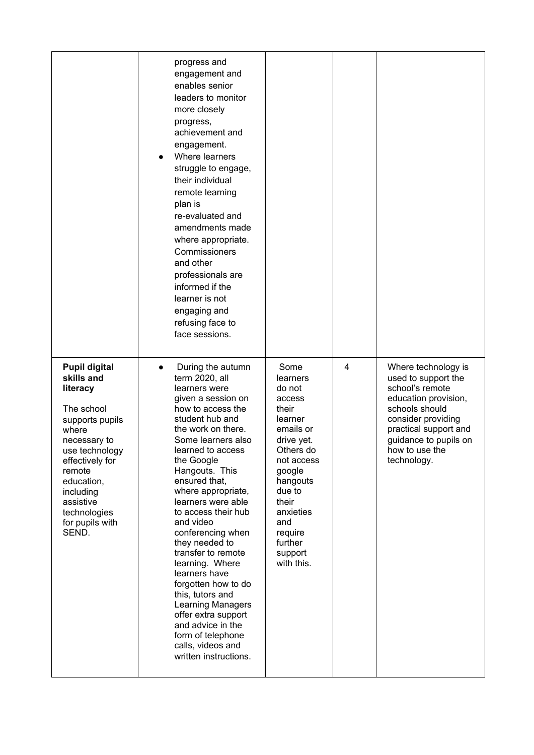|                                                                                                                                                                                                                                             | progress and<br>engagement and<br>enables senior<br>leaders to monitor<br>more closely<br>progress,<br>achievement and<br>engagement.<br>Where learners<br>struggle to engage,<br>their individual<br>remote learning<br>plan is<br>re-evaluated and<br>amendments made<br>where appropriate.<br>Commissioners<br>and other<br>professionals are<br>informed if the<br>learner is not<br>engaging and<br>refusing face to<br>face sessions.                                                                                                                                                          |                                                                                                                                                                                                                            |   |                                                                                                                                                                                                                  |
|---------------------------------------------------------------------------------------------------------------------------------------------------------------------------------------------------------------------------------------------|------------------------------------------------------------------------------------------------------------------------------------------------------------------------------------------------------------------------------------------------------------------------------------------------------------------------------------------------------------------------------------------------------------------------------------------------------------------------------------------------------------------------------------------------------------------------------------------------------|----------------------------------------------------------------------------------------------------------------------------------------------------------------------------------------------------------------------------|---|------------------------------------------------------------------------------------------------------------------------------------------------------------------------------------------------------------------|
| <b>Pupil digital</b><br>skills and<br>literacy<br>The school<br>supports pupils<br>where<br>necessary to<br>use technology<br>effectively for<br>remote<br>education,<br>including<br>assistive<br>technologies<br>for pupils with<br>SEND. | During the autumn<br>term 2020, all<br>learners were<br>given a session on<br>how to access the<br>student hub and<br>the work on there.<br>Some learners also<br>learned to access<br>the Google<br>Hangouts. This<br>ensured that,<br>where appropriate,<br>learners were able<br>to access their hub<br>and video<br>conferencing when<br>they needed to<br>transfer to remote<br>learning. Where<br>learners have<br>forgotten how to do<br>this, tutors and<br>Learning Managers<br>offer extra support<br>and advice in the<br>form of telephone<br>calls, videos and<br>written instructions. | Some<br>learners<br>do not<br>access<br>their<br>learner<br>emails or<br>drive yet.<br>Others do<br>not access<br>google<br>hangouts<br>due to<br>their<br>anxieties<br>and<br>require<br>further<br>support<br>with this. | 4 | Where technology is<br>used to support the<br>school's remote<br>education provision,<br>schools should<br>consider providing<br>practical support and<br>guidance to pupils on<br>how to use the<br>technology. |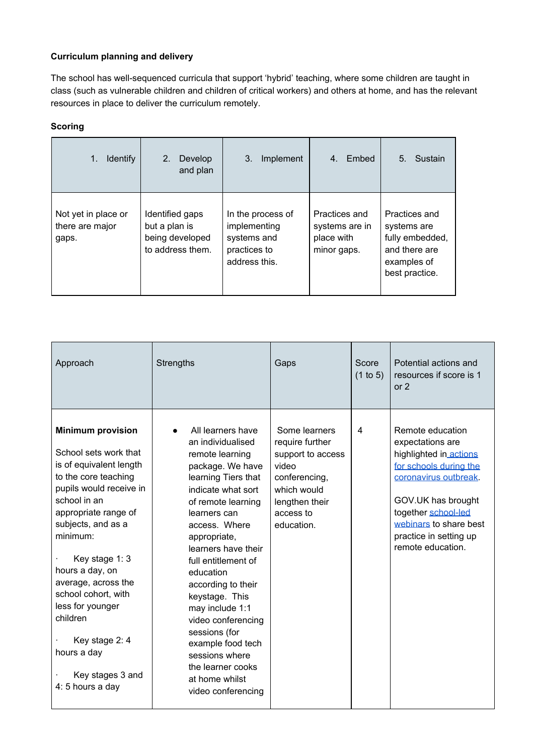#### **Curriculum planning and delivery**

The school has well-sequenced curricula that support 'hybrid' teaching, where some children are taught in class (such as vulnerable children and children of critical workers) and others at home, and has the relevant resources in place to deliver the curriculum remotely.

| <b>Identify</b><br>1.                           | $2_{-}$<br>Develop<br>and plan                                          | Implement<br>3.                                                                   | Embed<br>4.                                                  | Sustain<br>5 <sub>1</sub>                                                                         |
|-------------------------------------------------|-------------------------------------------------------------------------|-----------------------------------------------------------------------------------|--------------------------------------------------------------|---------------------------------------------------------------------------------------------------|
| Not yet in place or<br>there are major<br>gaps. | Identified gaps<br>but a plan is<br>being developed<br>to address them. | In the process of<br>implementing<br>systems and<br>practices to<br>address this. | Practices and<br>systems are in<br>place with<br>minor gaps. | Practices and<br>systems are<br>fully embedded,<br>and there are<br>examples of<br>best practice. |

| Approach                                                                                                                                                                                                                                                                                                                                                                                              | <b>Strengths</b>                                                                                                                                                                                                                                                                                                                                                                                                                                                   | Gaps                                                                                                                                        | Score<br>(1 to 5) | Potential actions and<br>resources if score is 1<br>or $2$                                                                                                                                                                             |
|-------------------------------------------------------------------------------------------------------------------------------------------------------------------------------------------------------------------------------------------------------------------------------------------------------------------------------------------------------------------------------------------------------|--------------------------------------------------------------------------------------------------------------------------------------------------------------------------------------------------------------------------------------------------------------------------------------------------------------------------------------------------------------------------------------------------------------------------------------------------------------------|---------------------------------------------------------------------------------------------------------------------------------------------|-------------------|----------------------------------------------------------------------------------------------------------------------------------------------------------------------------------------------------------------------------------------|
| <b>Minimum provision</b><br>School sets work that<br>is of equivalent length<br>to the core teaching<br>pupils would receive in<br>school in an<br>appropriate range of<br>subjects, and as a<br>minimum:<br>Key stage 1: 3<br>hours a day, on<br>average, across the<br>school cohort, with<br>less for younger<br>children<br>Key stage 2: 4<br>hours a day<br>Key stages 3 and<br>4: 5 hours a day | All learners have<br>an individualised<br>remote learning<br>package. We have<br>learning Tiers that<br>indicate what sort<br>of remote learning<br>learners can<br>access. Where<br>appropriate,<br>learners have their<br>full entitlement of<br>education<br>according to their<br>keystage. This<br>may include 1:1<br>video conferencing<br>sessions (for<br>example food tech<br>sessions where<br>the learner cooks<br>at home whilst<br>video conferencing | Some learners<br>require further<br>support to access<br>video<br>conferencing,<br>which would<br>lengthen their<br>access to<br>education. | 4                 | Remote education<br>expectations are<br>highlighted in actions<br>for schools during the<br>coronavirus outbreak<br>GOV.UK has brought<br>together school-led<br>webinars to share best<br>practice in setting up<br>remote education. |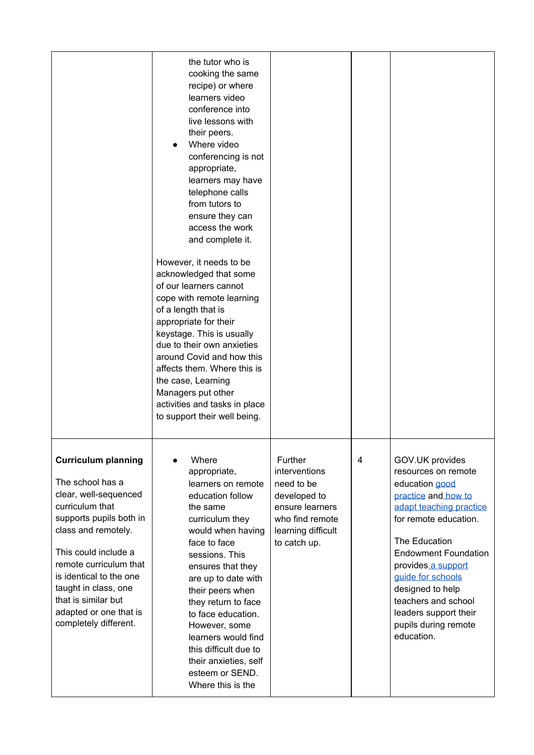|                                                                                                                                                                                                                                                                                                                             | the tutor who is<br>cooking the same<br>recipe) or where<br>learners video<br>conference into<br>live lessons with<br>their peers.<br>Where video<br>conferencing is not<br>appropriate,<br>learners may have<br>telephone calls<br>from tutors to<br>ensure they can<br>access the work<br>and complete it.<br>However, it needs to be<br>acknowledged that some<br>of our learners cannot<br>cope with remote learning<br>of a length that is<br>appropriate for their<br>keystage. This is usually<br>due to their own anxieties<br>around Covid and how this<br>affects them. Where this is<br>the case, Learning<br>Managers put other<br>activities and tasks in place<br>to support their well being. |                                                                                                                                    |   |                                                                                                                                                                                                                                                                                                                                          |
|-----------------------------------------------------------------------------------------------------------------------------------------------------------------------------------------------------------------------------------------------------------------------------------------------------------------------------|--------------------------------------------------------------------------------------------------------------------------------------------------------------------------------------------------------------------------------------------------------------------------------------------------------------------------------------------------------------------------------------------------------------------------------------------------------------------------------------------------------------------------------------------------------------------------------------------------------------------------------------------------------------------------------------------------------------|------------------------------------------------------------------------------------------------------------------------------------|---|------------------------------------------------------------------------------------------------------------------------------------------------------------------------------------------------------------------------------------------------------------------------------------------------------------------------------------------|
| <b>Curriculum planning</b><br>The school has a<br>clear, well-sequenced<br>curriculum that<br>supports pupils both in<br>class and remotely.<br>This could include a<br>remote curriculum that<br>is identical to the one<br>taught in class, one<br>that is similar but<br>adapted or one that is<br>completely different. | Where<br>appropriate,<br>learners on remote<br>education follow<br>the same<br>curriculum they<br>would when having<br>face to face<br>sessions. This<br>ensures that they<br>are up to date with<br>their peers when<br>they return to face<br>to face education.<br>However, some<br>learners would find<br>this difficult due to<br>their anxieties, self<br>esteem or SEND.<br>Where this is the                                                                                                                                                                                                                                                                                                         | Further<br>interventions<br>need to be<br>developed to<br>ensure learners<br>who find remote<br>learning difficult<br>to catch up. | 4 | GOV.UK provides<br>resources on remote<br>education good<br>practice and how to<br>adapt teaching practice<br>for remote education.<br>The Education<br><b>Endowment Foundation</b><br>provides a support<br>guide for schools<br>designed to help<br>teachers and school<br>leaders support their<br>pupils during remote<br>education. |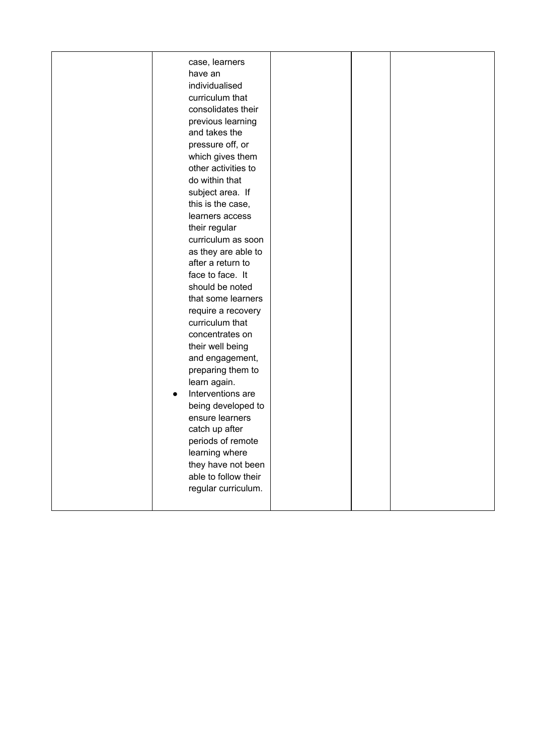| case, learners<br>have an<br>individualised<br>curriculum that<br>consolidates their<br>previous learning<br>and takes the<br>pressure off, or<br>which gives them<br>other activities to<br>do within that<br>subject area. If<br>this is the case,<br>learners access<br>their regular<br>curriculum as soon<br>as they are able to<br>after a return to<br>face to face. It<br>should be noted<br>that some learners<br>require a recovery<br>curriculum that<br>concentrates on<br>their well being<br>and engagement,<br>preparing them to<br>learn again. |  |  |
|-----------------------------------------------------------------------------------------------------------------------------------------------------------------------------------------------------------------------------------------------------------------------------------------------------------------------------------------------------------------------------------------------------------------------------------------------------------------------------------------------------------------------------------------------------------------|--|--|
|                                                                                                                                                                                                                                                                                                                                                                                                                                                                                                                                                                 |  |  |
|                                                                                                                                                                                                                                                                                                                                                                                                                                                                                                                                                                 |  |  |
|                                                                                                                                                                                                                                                                                                                                                                                                                                                                                                                                                                 |  |  |
|                                                                                                                                                                                                                                                                                                                                                                                                                                                                                                                                                                 |  |  |
|                                                                                                                                                                                                                                                                                                                                                                                                                                                                                                                                                                 |  |  |
|                                                                                                                                                                                                                                                                                                                                                                                                                                                                                                                                                                 |  |  |
|                                                                                                                                                                                                                                                                                                                                                                                                                                                                                                                                                                 |  |  |
|                                                                                                                                                                                                                                                                                                                                                                                                                                                                                                                                                                 |  |  |
|                                                                                                                                                                                                                                                                                                                                                                                                                                                                                                                                                                 |  |  |
|                                                                                                                                                                                                                                                                                                                                                                                                                                                                                                                                                                 |  |  |
|                                                                                                                                                                                                                                                                                                                                                                                                                                                                                                                                                                 |  |  |
|                                                                                                                                                                                                                                                                                                                                                                                                                                                                                                                                                                 |  |  |
|                                                                                                                                                                                                                                                                                                                                                                                                                                                                                                                                                                 |  |  |
|                                                                                                                                                                                                                                                                                                                                                                                                                                                                                                                                                                 |  |  |
| Interventions are                                                                                                                                                                                                                                                                                                                                                                                                                                                                                                                                               |  |  |
| being developed to                                                                                                                                                                                                                                                                                                                                                                                                                                                                                                                                              |  |  |
| ensure learners                                                                                                                                                                                                                                                                                                                                                                                                                                                                                                                                                 |  |  |
| catch up after                                                                                                                                                                                                                                                                                                                                                                                                                                                                                                                                                  |  |  |
| periods of remote                                                                                                                                                                                                                                                                                                                                                                                                                                                                                                                                               |  |  |
| learning where                                                                                                                                                                                                                                                                                                                                                                                                                                                                                                                                                  |  |  |
| they have not been                                                                                                                                                                                                                                                                                                                                                                                                                                                                                                                                              |  |  |
| able to follow their                                                                                                                                                                                                                                                                                                                                                                                                                                                                                                                                            |  |  |
| regular curriculum.                                                                                                                                                                                                                                                                                                                                                                                                                                                                                                                                             |  |  |
|                                                                                                                                                                                                                                                                                                                                                                                                                                                                                                                                                                 |  |  |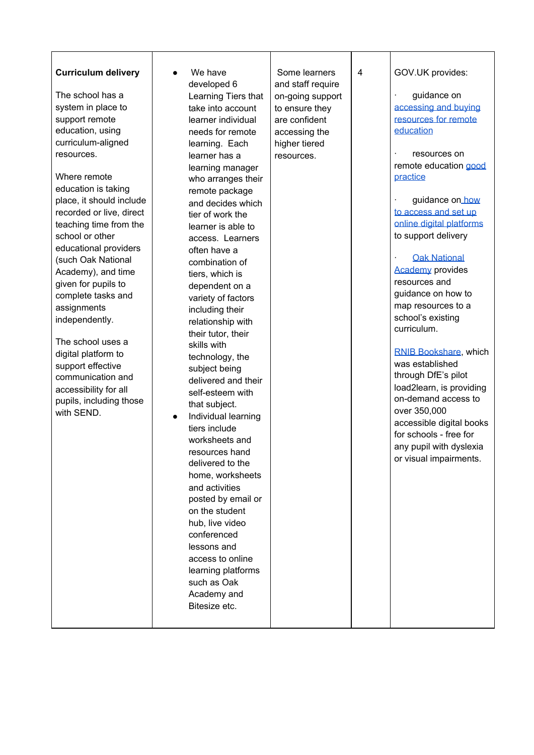| <b>Curriculum delivery</b><br>The school has a<br>system in place to<br>support remote<br>education, using<br>curriculum-aligned<br>resources.<br>Where remote<br>education is taking<br>place, it should include<br>recorded or live, direct<br>teaching time from the<br>school or other | We have<br>developed 6<br>Learning Tiers that<br>take into account<br>learner individual<br>needs for remote<br>learning. Each<br>learner has a<br>learning manager<br>who arranges their<br>remote package<br>and decides which<br>tier of work the<br>learner is able to<br>access. Learners                                                                                                                                                                                                                                                                                 | Some learners<br>and staff require<br>on-going support<br>to ensure they<br>are confident<br>accessing the<br>higher tiered<br>resources. | 4 | GOV.UK provides:<br>guidance on<br>accessing and buying<br>resources for remote<br>education<br>resources on<br>remote education good<br>practice<br>guidance on how<br>to access and set up<br>online digital platforms<br>to support delivery                                                                                                                                                  |
|--------------------------------------------------------------------------------------------------------------------------------------------------------------------------------------------------------------------------------------------------------------------------------------------|--------------------------------------------------------------------------------------------------------------------------------------------------------------------------------------------------------------------------------------------------------------------------------------------------------------------------------------------------------------------------------------------------------------------------------------------------------------------------------------------------------------------------------------------------------------------------------|-------------------------------------------------------------------------------------------------------------------------------------------|---|--------------------------------------------------------------------------------------------------------------------------------------------------------------------------------------------------------------------------------------------------------------------------------------------------------------------------------------------------------------------------------------------------|
| (such Oak National<br>Academy), and time<br>given for pupils to<br>complete tasks and<br>assignments<br>independently.<br>The school uses a<br>digital platform to<br>support effective<br>communication and<br>accessibility for all<br>pupils, including those<br>with SEND.             | combination of<br>tiers, which is<br>dependent on a<br>variety of factors<br>including their<br>relationship with<br>their tutor, their<br>skills with<br>technology, the<br>subject being<br>delivered and their<br>self-esteem with<br>that subject.<br>Individual learning<br>tiers include<br>worksheets and<br>resources hand<br>delivered to the<br>home, worksheets<br>and activities<br>posted by email or<br>on the student<br>hub, live video<br>conferenced<br>lessons and<br>access to online<br>learning platforms<br>such as Oak<br>Academy and<br>Bitesize etc. |                                                                                                                                           |   | <b>Oak National</b><br><b>Academy</b> provides<br>resources and<br>guidance on how to<br>map resources to a<br>school's existing<br>curriculum.<br>RNIB Bookshare, which<br>was established<br>through DfE's pilot<br>load2learn, is providing<br>on-demand access to<br>over 350,000<br>accessible digital books<br>for schools - free for<br>any pupil with dyslexia<br>or visual impairments. |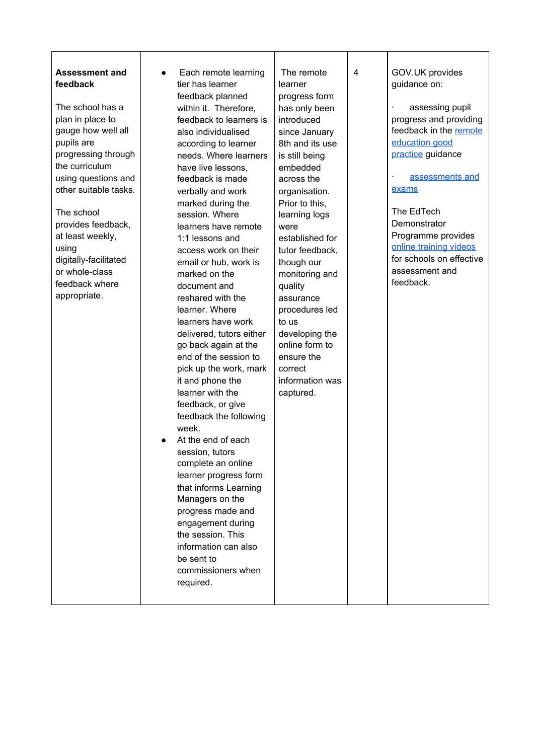| <b>Assessment and</b><br>$\bullet$<br>feedback<br>The school has a<br>plan in place to<br>gauge how well all<br>pupils are<br>progressing through<br>the curriculum<br>using questions and<br>other suitable tasks.<br>The school<br>provides feedback,<br>at least weekly,<br>using<br>digitally-facilitated<br>or whole-class<br>feedback where<br>appropriate. | Each remote learning<br>tier has learner<br>feedback planned<br>within it. Therefore,<br>feedback to learners is<br>also individualised<br>according to learner<br>needs. Where learners<br>have live lessons,<br>feedback is made<br>verbally and work<br>marked during the<br>session. Where<br>learners have remote<br>1:1 lessons and<br>access work on their<br>email or hub, work is<br>marked on the<br>document and<br>reshared with the<br>learner. Where<br>learners have work<br>delivered, tutors either<br>go back again at the<br>end of the session to<br>pick up the work, mark<br>it and phone the<br>learner with the<br>feedback, or give<br>feedback the following<br>week.<br>At the end of each<br>session, tutors<br>complete an online<br>learner progress form<br>that informs Learning<br>Managers on the<br>progress made and<br>engagement during<br>the session. This<br>information can also<br>be sent to<br>commissioners when<br>required. | The remote<br>learner<br>progress form<br>has only been<br>introduced<br>since January<br>8th and its use<br>is still being<br>embedded<br>across the<br>organisation.<br>Prior to this,<br>learning logs<br>were<br>established for<br>tutor feedback,<br>though our<br>monitoring and<br>quality<br>assurance<br>procedures led<br>to us<br>developing the<br>online form to<br>ensure the<br>correct<br>information was<br>captured. | 4 | GOV.UK provides<br>guidance on:<br>assessing pupil<br>progress and providing<br>feedback in the remote<br>education good<br>practice guidance<br>assessments and<br>exams<br>The EdTech<br>Demonstrator<br>Programme provides<br>online training videos<br>for schools on effective<br>assessment and<br>feedback. |
|-------------------------------------------------------------------------------------------------------------------------------------------------------------------------------------------------------------------------------------------------------------------------------------------------------------------------------------------------------------------|-----------------------------------------------------------------------------------------------------------------------------------------------------------------------------------------------------------------------------------------------------------------------------------------------------------------------------------------------------------------------------------------------------------------------------------------------------------------------------------------------------------------------------------------------------------------------------------------------------------------------------------------------------------------------------------------------------------------------------------------------------------------------------------------------------------------------------------------------------------------------------------------------------------------------------------------------------------------------------|-----------------------------------------------------------------------------------------------------------------------------------------------------------------------------------------------------------------------------------------------------------------------------------------------------------------------------------------------------------------------------------------------------------------------------------------|---|--------------------------------------------------------------------------------------------------------------------------------------------------------------------------------------------------------------------------------------------------------------------------------------------------------------------|
|-------------------------------------------------------------------------------------------------------------------------------------------------------------------------------------------------------------------------------------------------------------------------------------------------------------------------------------------------------------------|-----------------------------------------------------------------------------------------------------------------------------------------------------------------------------------------------------------------------------------------------------------------------------------------------------------------------------------------------------------------------------------------------------------------------------------------------------------------------------------------------------------------------------------------------------------------------------------------------------------------------------------------------------------------------------------------------------------------------------------------------------------------------------------------------------------------------------------------------------------------------------------------------------------------------------------------------------------------------------|-----------------------------------------------------------------------------------------------------------------------------------------------------------------------------------------------------------------------------------------------------------------------------------------------------------------------------------------------------------------------------------------------------------------------------------------|---|--------------------------------------------------------------------------------------------------------------------------------------------------------------------------------------------------------------------------------------------------------------------------------------------------------------------|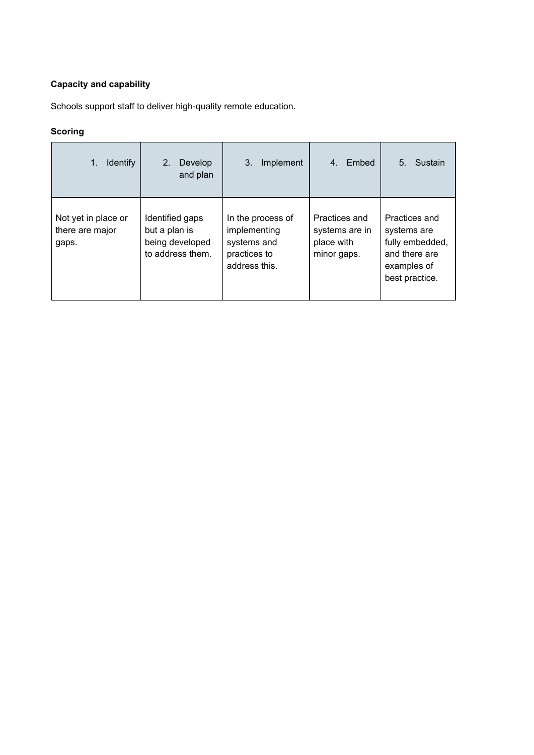#### **Capacity and capability**

Schools support staff to deliver high-quality remote education.

| <b>Identify</b><br>1.                           | 2.<br>Develop<br>and plan                                               | 3.<br>Implement                                                                   | Embed<br>4.                                                  | 5.<br>Sustain                                                                                     |
|-------------------------------------------------|-------------------------------------------------------------------------|-----------------------------------------------------------------------------------|--------------------------------------------------------------|---------------------------------------------------------------------------------------------------|
| Not yet in place or<br>there are major<br>gaps. | Identified gaps<br>but a plan is<br>being developed<br>to address them. | In the process of<br>implementing<br>systems and<br>practices to<br>address this. | Practices and<br>systems are in<br>place with<br>minor gaps. | Practices and<br>systems are<br>fully embedded,<br>and there are<br>examples of<br>best practice. |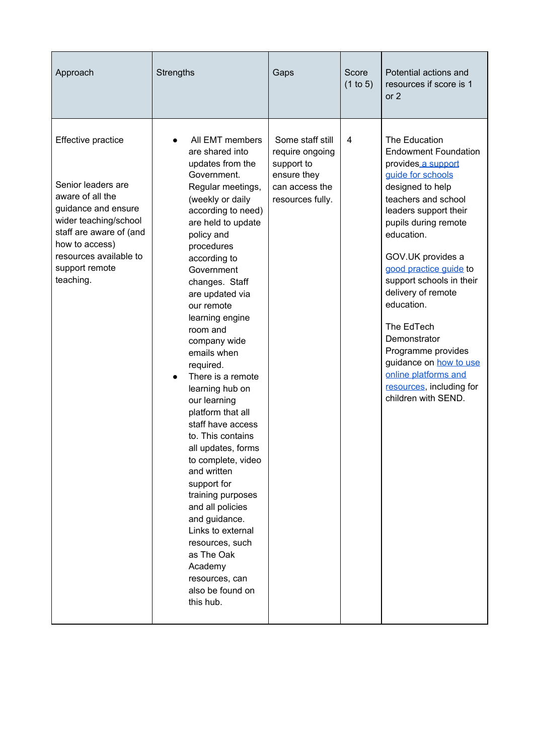| Approach                                                                                                                                                                                                           | <b>Strengths</b>                                                                                                                                                                                                                                                                                                                                                                                                                                                                                                                                                                                                                                                                                                                               | Gaps                                                                                                   | Score<br>(1 to 5) | Potential actions and<br>resources if score is 1<br>or 2                                                                                                                                                                                                                                                                                                                                                                                                                  |
|--------------------------------------------------------------------------------------------------------------------------------------------------------------------------------------------------------------------|------------------------------------------------------------------------------------------------------------------------------------------------------------------------------------------------------------------------------------------------------------------------------------------------------------------------------------------------------------------------------------------------------------------------------------------------------------------------------------------------------------------------------------------------------------------------------------------------------------------------------------------------------------------------------------------------------------------------------------------------|--------------------------------------------------------------------------------------------------------|-------------------|---------------------------------------------------------------------------------------------------------------------------------------------------------------------------------------------------------------------------------------------------------------------------------------------------------------------------------------------------------------------------------------------------------------------------------------------------------------------------|
| Effective practice<br>Senior leaders are<br>aware of all the<br>guidance and ensure<br>wider teaching/school<br>staff are aware of (and<br>how to access)<br>resources available to<br>support remote<br>teaching. | All EMT members<br>are shared into<br>updates from the<br>Government.<br>Regular meetings,<br>(weekly or daily<br>according to need)<br>are held to update<br>policy and<br>procedures<br>according to<br>Government<br>changes. Staff<br>are updated via<br>our remote<br>learning engine<br>room and<br>company wide<br>emails when<br>required.<br>There is a remote<br>$\bullet$<br>learning hub on<br>our learning<br>platform that all<br>staff have access<br>to. This contains<br>all updates, forms<br>to complete, video<br>and written<br>support for<br>training purposes<br>and all policies<br>and guidance.<br>Links to external<br>resources, such<br>as The Oak<br>Academy<br>resources, can<br>also be found on<br>this hub. | Some staff still<br>require ongoing<br>support to<br>ensure they<br>can access the<br>resources fully. | $\overline{4}$    | The Education<br><b>Endowment Foundation</b><br>provides a support<br>guide for schools<br>designed to help<br>teachers and school<br>leaders support their<br>pupils during remote<br>education.<br>GOV.UK provides a<br>good practice guide to<br>support schools in their<br>delivery of remote<br>education.<br>The EdTech<br>Demonstrator<br>Programme provides<br>guidance on how to use<br>online platforms and<br>resources, including for<br>children with SEND. |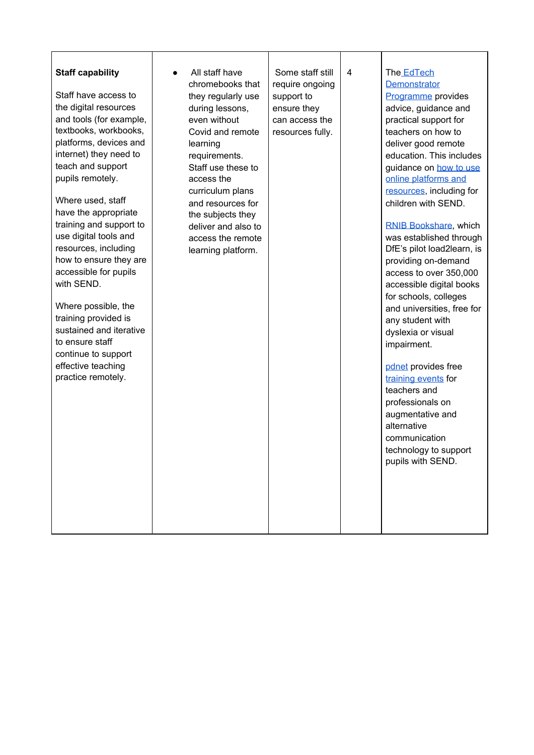| <b>Staff capability</b><br>Staff have access to<br>the digital resources<br>and tools (for example,<br>textbooks, workbooks,<br>platforms, devices and<br>internet) they need to<br>teach and support<br>pupils remotely.<br>Where used, staff<br>have the appropriate<br>training and support to<br>use digital tools and<br>resources, including<br>how to ensure they are<br>accessible for pupils<br>with SEND.<br>Where possible, the<br>training provided is<br>sustained and iterative<br>to ensure staff<br>continue to support<br>effective teaching<br>practice remotely. | All staff have<br>chromebooks that<br>they regularly use<br>during lessons,<br>even without<br>Covid and remote<br>learning<br>requirements.<br>Staff use these to<br>access the<br>curriculum plans<br>and resources for<br>the subjects they<br>deliver and also to<br>access the remote<br>learning platform. | Some staff still<br>require ongoing<br>support to<br>ensure they<br>can access the<br>resources fully. | $\overline{4}$ | The EdTech<br>Demonstrator<br>Programme provides<br>advice, guidance and<br>practical support for<br>teachers on how to<br>deliver good remote<br>education. This includes<br>guidance on how to use<br>online platforms and<br>resources, including for<br>children with SEND.<br>RNIB Bookshare, which<br>was established through<br>DfE's pilot load2learn, is<br>providing on-demand<br>access to over 350,000<br>accessible digital books<br>for schools, colleges<br>and universities, free for<br>any student with<br>dyslexia or visual<br>impairment.<br>pdnet provides free<br>training events for<br>teachers and<br>professionals on<br>augmentative and<br>alternative<br>communication<br>technology to support<br>pupils with SEND. |
|-------------------------------------------------------------------------------------------------------------------------------------------------------------------------------------------------------------------------------------------------------------------------------------------------------------------------------------------------------------------------------------------------------------------------------------------------------------------------------------------------------------------------------------------------------------------------------------|------------------------------------------------------------------------------------------------------------------------------------------------------------------------------------------------------------------------------------------------------------------------------------------------------------------|--------------------------------------------------------------------------------------------------------|----------------|----------------------------------------------------------------------------------------------------------------------------------------------------------------------------------------------------------------------------------------------------------------------------------------------------------------------------------------------------------------------------------------------------------------------------------------------------------------------------------------------------------------------------------------------------------------------------------------------------------------------------------------------------------------------------------------------------------------------------------------------------|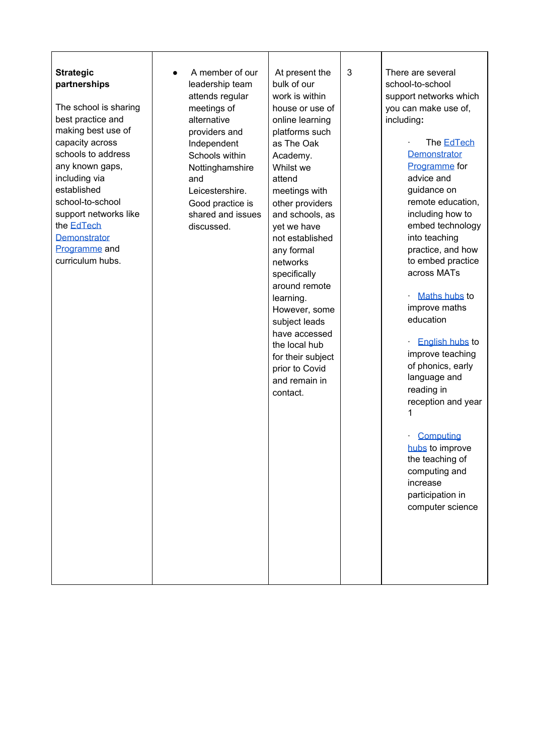| <b>Strategic</b><br>partnerships<br>The school is sharing<br>best practice and<br>making best use of<br>capacity across<br>schools to address<br>any known gaps,<br>including via<br>established<br>school-to-school<br>support networks like<br>the <b>EdTech</b><br>Demonstrator<br>Programme and<br>curriculum hubs. | A member of our<br>leadership team<br>attends regular<br>meetings of<br>alternative<br>providers and<br>Independent<br>Schools within<br>Nottinghamshire<br>and<br>Leicestershire.<br>Good practice is<br>shared and issues<br>discussed. | At present the<br>bulk of our<br>work is within<br>house or use of<br>online learning<br>platforms such<br>as The Oak<br>Academy.<br>Whilst we<br>attend<br>meetings with<br>other providers<br>and schools, as<br>yet we have<br>not established<br>any formal<br>networks<br>specifically<br>around remote<br>learning.<br>However, some<br>subject leads<br>have accessed<br>the local hub<br>for their subject<br>prior to Covid<br>and remain in<br>contact. | 3 | There are several<br>school-to-school<br>support networks which<br>you can make use of,<br>including:<br>The <b>EdTech</b><br>Demonstrator<br>Programme for<br>advice and<br>guidance on<br>remote education,<br>including how to<br>embed technology<br>into teaching<br>practice, and how<br>to embed practice<br>across MATs<br>Maths hubs to<br>improve maths<br>education<br><b>English hubs to</b><br>improve teaching<br>of phonics, early<br>language and<br>reading in<br>reception and year<br>1<br>Computing<br>hubs to improve<br>the teaching of<br>computing and<br>increase<br>participation in<br>computer science |
|-------------------------------------------------------------------------------------------------------------------------------------------------------------------------------------------------------------------------------------------------------------------------------------------------------------------------|-------------------------------------------------------------------------------------------------------------------------------------------------------------------------------------------------------------------------------------------|-------------------------------------------------------------------------------------------------------------------------------------------------------------------------------------------------------------------------------------------------------------------------------------------------------------------------------------------------------------------------------------------------------------------------------------------------------------------|---|------------------------------------------------------------------------------------------------------------------------------------------------------------------------------------------------------------------------------------------------------------------------------------------------------------------------------------------------------------------------------------------------------------------------------------------------------------------------------------------------------------------------------------------------------------------------------------------------------------------------------------|
|-------------------------------------------------------------------------------------------------------------------------------------------------------------------------------------------------------------------------------------------------------------------------------------------------------------------------|-------------------------------------------------------------------------------------------------------------------------------------------------------------------------------------------------------------------------------------------|-------------------------------------------------------------------------------------------------------------------------------------------------------------------------------------------------------------------------------------------------------------------------------------------------------------------------------------------------------------------------------------------------------------------------------------------------------------------|---|------------------------------------------------------------------------------------------------------------------------------------------------------------------------------------------------------------------------------------------------------------------------------------------------------------------------------------------------------------------------------------------------------------------------------------------------------------------------------------------------------------------------------------------------------------------------------------------------------------------------------------|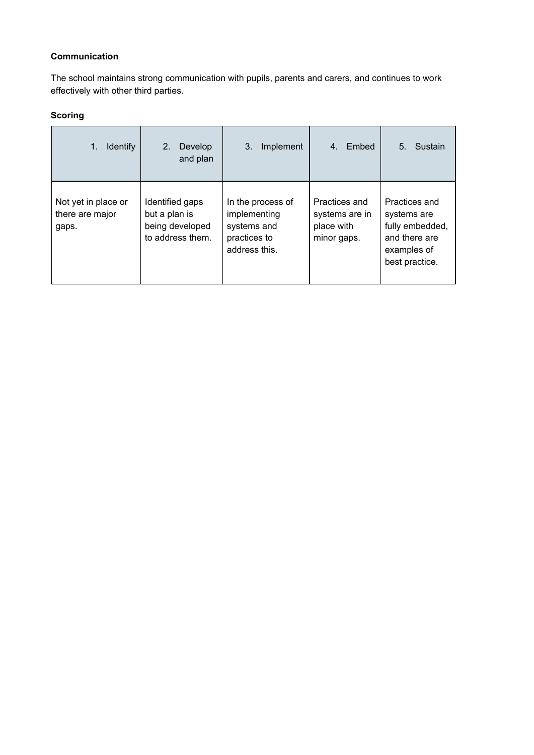#### **Communication**

The school maintains strong communication with pupils, parents and carers, and continues to work effectively with other third parties.

| <b>Identify</b><br>1.                           | 2.<br>Develop<br>and plan                                               | Implement<br>3.                                                                   | Embed<br>4.                                                  | Sustain<br>5.                                                                                     |
|-------------------------------------------------|-------------------------------------------------------------------------|-----------------------------------------------------------------------------------|--------------------------------------------------------------|---------------------------------------------------------------------------------------------------|
| Not yet in place or<br>there are major<br>gaps. | Identified gaps<br>but a plan is<br>being developed<br>to address them. | In the process of<br>implementing<br>systems and<br>practices to<br>address this. | Practices and<br>systems are in<br>place with<br>minor gaps. | Practices and<br>systems are<br>fully embedded,<br>and there are<br>examples of<br>best practice. |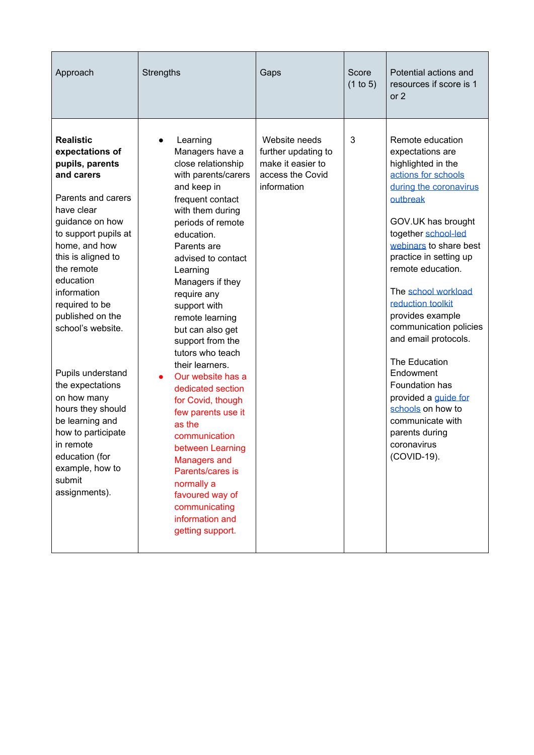| 3<br><b>Realistic</b><br>Website needs<br>Remote education<br>Learning<br>expectations of<br>Managers have a<br>further updating to<br>expectations are<br>make it easier to<br>pupils, parents<br>close relationship<br>highlighted in the<br>actions for schools<br>and carers<br>access the Covid<br>with parents/carers<br>information<br>during the coronavirus<br>and keep in<br>Parents and carers<br>frequent contact<br>outbreak<br>have clear<br>with them during<br>guidance on how<br>GOV.UK has brought<br>periods of remote<br>to support pupils at<br>together school-led<br>education.<br>webinars to share best<br>home, and how<br>Parents are<br>this is aligned to<br>practice in setting up<br>advised to contact<br>the remote<br>remote education.<br>Learning<br>education<br>Managers if they<br>The school workload<br>information<br>require any<br>reduction toolkit<br>required to be<br>support with<br>provides example<br>published on the<br>remote learning<br>school's website.<br>but can also get<br>and email protocols.<br>support from the<br>tutors who teach<br>The Education<br>their learners.<br>Endowment<br>Pupils understand<br>Our website has a<br>Foundation has<br>the expectations<br>dedicated section<br>on how many<br>provided a guide for<br>for Covid, though<br>hours they should<br>schools on how to<br>few parents use it<br>be learning and<br>communicate with<br>as the<br>how to participate<br>parents during<br>communication<br>in remote<br>coronavirus<br>between Learning<br>education (for<br>(COVID-19).<br><b>Managers and</b><br>example, how to<br>Parents/cares is<br>submit<br>normally a | Approach      | <b>Strengths</b> | Gaps | Score<br>(1 to 5) | Potential actions and<br>resources if score is 1<br>or $2$ |
|---------------------------------------------------------------------------------------------------------------------------------------------------------------------------------------------------------------------------------------------------------------------------------------------------------------------------------------------------------------------------------------------------------------------------------------------------------------------------------------------------------------------------------------------------------------------------------------------------------------------------------------------------------------------------------------------------------------------------------------------------------------------------------------------------------------------------------------------------------------------------------------------------------------------------------------------------------------------------------------------------------------------------------------------------------------------------------------------------------------------------------------------------------------------------------------------------------------------------------------------------------------------------------------------------------------------------------------------------------------------------------------------------------------------------------------------------------------------------------------------------------------------------------------------------------------------------------------------------------------------------------------------------------------------------|---------------|------------------|------|-------------------|------------------------------------------------------------|
| communicating<br>information and<br>getting support.                                                                                                                                                                                                                                                                                                                                                                                                                                                                                                                                                                                                                                                                                                                                                                                                                                                                                                                                                                                                                                                                                                                                                                                                                                                                                                                                                                                                                                                                                                                                                                                                                      | assignments). | favoured way of  |      |                   | communication policies                                     |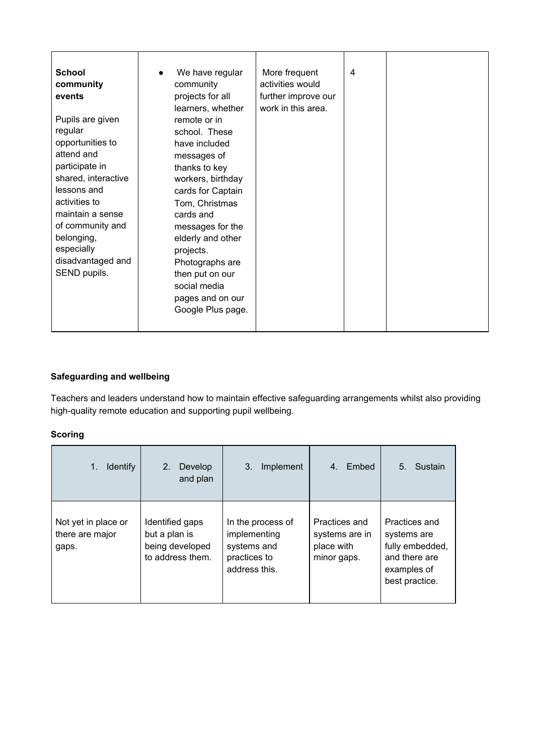| <b>School</b>       | We have regular   | More frequent       | 4 |  |
|---------------------|-------------------|---------------------|---|--|
| community           | community         | activities would    |   |  |
| events              | projects for all  | further improve our |   |  |
|                     | learners, whether | work in this area.  |   |  |
| Pupils are given    | remote or in      |                     |   |  |
| regular             | school. These     |                     |   |  |
| opportunities to    | have included     |                     |   |  |
| attend and          | messages of       |                     |   |  |
| participate in      | thanks to key     |                     |   |  |
| shared, interactive | workers, birthday |                     |   |  |
| lessons and         | cards for Captain |                     |   |  |
| activities to       | Tom, Christmas    |                     |   |  |
| maintain a sense    | cards and         |                     |   |  |
| of community and    | messages for the  |                     |   |  |
| belonging,          | elderly and other |                     |   |  |
| especially          | projects.         |                     |   |  |
| disadvantaged and   | Photographs are   |                     |   |  |
| SEND pupils.        | then put on our   |                     |   |  |
|                     | social media      |                     |   |  |
|                     | pages and on our  |                     |   |  |
|                     | Google Plus page. |                     |   |  |
|                     |                   |                     |   |  |

#### **Safeguarding and wellbeing**

Teachers and leaders understand how to maintain effective safeguarding arrangements whilst also providing high-quality remote education and supporting pupil wellbeing.

| <b>Identify</b><br>1.                           | 2.<br>Develop<br>and plan                                               | 3.<br>Implement                                                                   | Embed<br>$4_{-}$                                             | Sustain<br>5.                                                                                     |
|-------------------------------------------------|-------------------------------------------------------------------------|-----------------------------------------------------------------------------------|--------------------------------------------------------------|---------------------------------------------------------------------------------------------------|
| Not yet in place or<br>there are major<br>gaps. | Identified gaps<br>but a plan is<br>being developed<br>to address them. | In the process of<br>implementing<br>systems and<br>practices to<br>address this. | Practices and<br>systems are in<br>place with<br>minor gaps. | Practices and<br>systems are<br>fully embedded,<br>and there are<br>examples of<br>best practice. |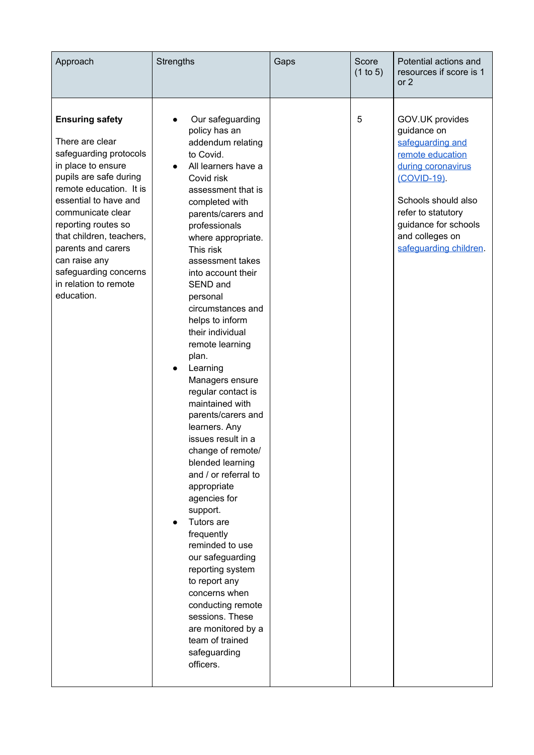| Approach                                                                                                                                                                                                                                                                                                                                               | <b>Strengths</b>                                                                                                                                                                                                                                                                                                                                                                                                                                                                                                                                                                                                                                                                                                                                                                                                                                                                          | Gaps | Score<br>(1 to 5) | Potential actions and<br>resources if score is 1<br>or $2$                                                                                                                                                                    |
|--------------------------------------------------------------------------------------------------------------------------------------------------------------------------------------------------------------------------------------------------------------------------------------------------------------------------------------------------------|-------------------------------------------------------------------------------------------------------------------------------------------------------------------------------------------------------------------------------------------------------------------------------------------------------------------------------------------------------------------------------------------------------------------------------------------------------------------------------------------------------------------------------------------------------------------------------------------------------------------------------------------------------------------------------------------------------------------------------------------------------------------------------------------------------------------------------------------------------------------------------------------|------|-------------------|-------------------------------------------------------------------------------------------------------------------------------------------------------------------------------------------------------------------------------|
| <b>Ensuring safety</b><br>There are clear<br>safeguarding protocols<br>in place to ensure<br>pupils are safe during<br>remote education. It is<br>essential to have and<br>communicate clear<br>reporting routes so<br>that children, teachers,<br>parents and carers<br>can raise any<br>safeguarding concerns<br>in relation to remote<br>education. | Our safeguarding<br>policy has an<br>addendum relating<br>to Covid.<br>All learners have a<br>Covid risk<br>assessment that is<br>completed with<br>parents/carers and<br>professionals<br>where appropriate.<br>This risk<br>assessment takes<br>into account their<br>SEND and<br>personal<br>circumstances and<br>helps to inform<br>their individual<br>remote learning<br>plan.<br>Learning<br>$\bullet$<br>Managers ensure<br>regular contact is<br>maintained with<br>parents/carers and<br>learners. Any<br>issues result in a<br>change of remote/<br>blended learning<br>and / or referral to<br>appropriate<br>agencies for<br>support.<br>Tutors are<br>frequently<br>reminded to use<br>our safeguarding<br>reporting system<br>to report any<br>concerns when<br>conducting remote<br>sessions. These<br>are monitored by a<br>team of trained<br>safeguarding<br>officers. |      | 5                 | GOV.UK provides<br>guidance on<br>safeguarding and<br>remote education<br>during coronavirus<br>(COVID-19).<br>Schools should also<br>refer to statutory<br>guidance for schools<br>and colleges on<br>safeguarding children. |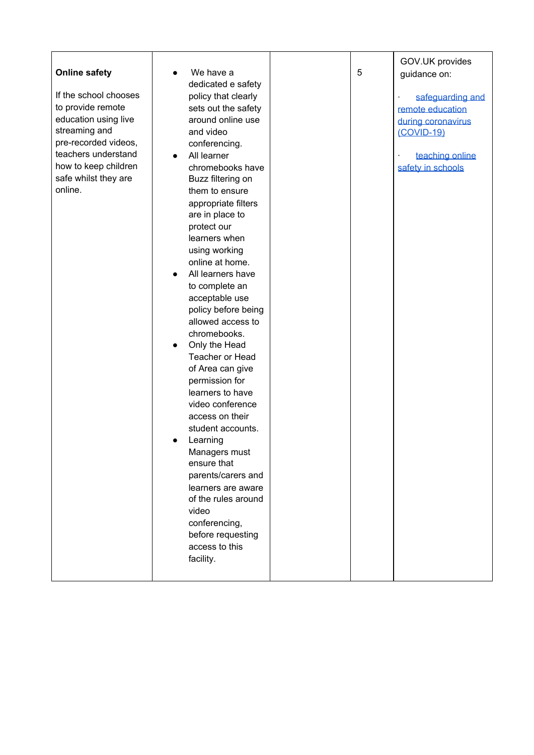| <b>Online safety</b><br>If the school chooses<br>to provide remote<br>education using live<br>streaming and<br>pre-recorded videos,<br>teachers understand<br>how to keep children<br>safe whilst they are<br>online. | We have a<br>dedicated e safety<br>policy that clearly<br>sets out the safety<br>around online use<br>and video<br>conferencing.<br>All learner<br>$\bullet$<br>chromebooks have<br>Buzz filtering on<br>them to ensure<br>appropriate filters<br>are in place to<br>protect our<br>learners when<br>using working<br>online at home.<br>All learners have<br>to complete an<br>acceptable use<br>policy before being<br>allowed access to<br>chromebooks.<br>Only the Head<br>Teacher or Head<br>of Area can give<br>permission for<br>learners to have<br>video conference<br>access on their<br>student accounts.<br>Learning<br>Managers must<br>ensure that<br>parents/carers and<br>learners are aware<br>of the rules around<br>video<br>conferencing,<br>before requesting<br>access to this<br>facility. |  | 5 | GOV.UK provides<br>guidance on:<br>safeguarding and<br>remote education<br>during coronavirus<br>$(COVID-19)$<br>teaching online<br>safety in schools |
|-----------------------------------------------------------------------------------------------------------------------------------------------------------------------------------------------------------------------|-------------------------------------------------------------------------------------------------------------------------------------------------------------------------------------------------------------------------------------------------------------------------------------------------------------------------------------------------------------------------------------------------------------------------------------------------------------------------------------------------------------------------------------------------------------------------------------------------------------------------------------------------------------------------------------------------------------------------------------------------------------------------------------------------------------------|--|---|-------------------------------------------------------------------------------------------------------------------------------------------------------|
|-----------------------------------------------------------------------------------------------------------------------------------------------------------------------------------------------------------------------|-------------------------------------------------------------------------------------------------------------------------------------------------------------------------------------------------------------------------------------------------------------------------------------------------------------------------------------------------------------------------------------------------------------------------------------------------------------------------------------------------------------------------------------------------------------------------------------------------------------------------------------------------------------------------------------------------------------------------------------------------------------------------------------------------------------------|--|---|-------------------------------------------------------------------------------------------------------------------------------------------------------|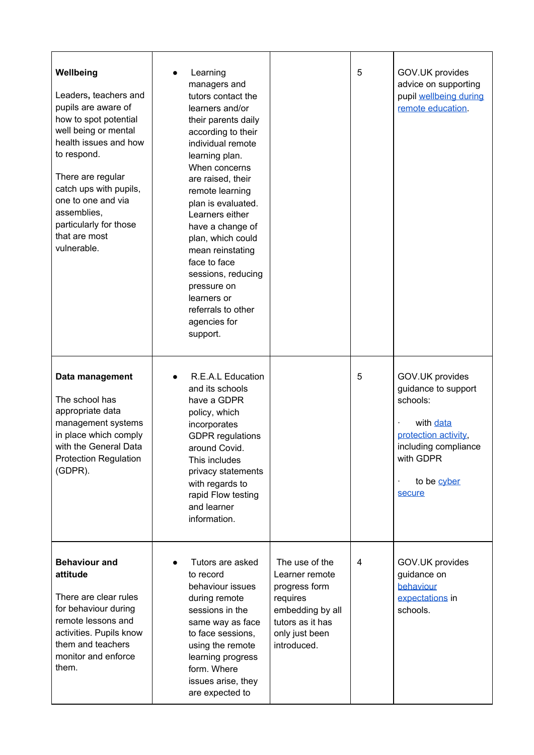| Wellbeing<br>Leaders, teachers and<br>pupils are aware of<br>how to spot potential<br>well being or mental<br>health issues and how<br>to respond.<br>There are regular<br>catch ups with pupils,<br>one to one and via<br>assemblies,<br>particularly for those<br>that are most<br>vulnerable. | Learning<br>managers and<br>tutors contact the<br>learners and/or<br>their parents daily<br>according to their<br>individual remote<br>learning plan.<br>When concerns<br>are raised, their<br>remote learning<br>plan is evaluated.<br>Learners either<br>have a change of<br>plan, which could<br>mean reinstating<br>face to face<br>sessions, reducing<br>pressure on<br>learners or<br>referrals to other<br>agencies for<br>support. |                                                                                                                                        | 5 | GOV.UK provides<br>advice on supporting<br>pupil wellbeing during<br>remote education.                                                                |
|--------------------------------------------------------------------------------------------------------------------------------------------------------------------------------------------------------------------------------------------------------------------------------------------------|--------------------------------------------------------------------------------------------------------------------------------------------------------------------------------------------------------------------------------------------------------------------------------------------------------------------------------------------------------------------------------------------------------------------------------------------|----------------------------------------------------------------------------------------------------------------------------------------|---|-------------------------------------------------------------------------------------------------------------------------------------------------------|
| Data management<br>The school has<br>appropriate data<br>management systems<br>in place which comply<br>with the General Data<br><b>Protection Regulation</b><br>(GDPR).                                                                                                                         | R.E.A.L Education<br>and its schools<br>have a GDPR<br>policy, which<br>incorporates<br><b>GDPR</b> regulations<br>around Covid.<br>This includes<br>privacy statements<br>with regards to<br>rapid Flow testing<br>and learner<br>information.                                                                                                                                                                                            |                                                                                                                                        | 5 | GOV.UK provides<br>guidance to support<br>schools:<br>with data<br>protection activity,<br>including compliance<br>with GDPR<br>to be cyber<br>secure |
| <b>Behaviour and</b><br>attitude<br>There are clear rules<br>for behaviour during<br>remote lessons and<br>activities. Pupils know<br>them and teachers<br>monitor and enforce<br>them.                                                                                                          | Tutors are asked<br>to record<br>behaviour issues<br>during remote<br>sessions in the<br>same way as face<br>to face sessions,<br>using the remote<br>learning progress<br>form. Where<br>issues arise, they<br>are expected to                                                                                                                                                                                                            | The use of the<br>Learner remote<br>progress form<br>requires<br>embedding by all<br>tutors as it has<br>only just been<br>introduced. | 4 | GOV.UK provides<br>guidance on<br>behaviour<br>expectations in<br>schools.                                                                            |